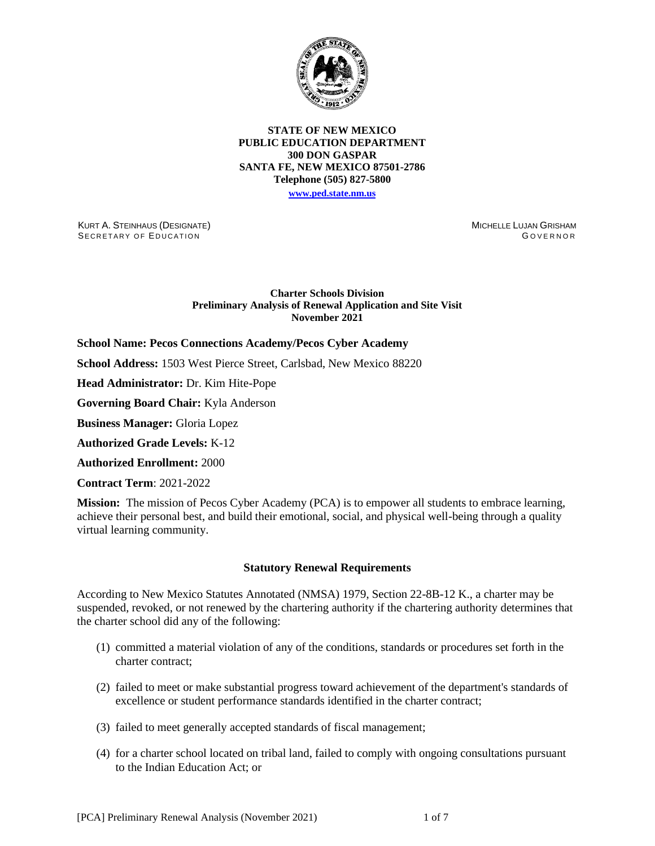

### **STATE OF NEW MEXICO PUBLIC EDUCATION DEPARTMENT 300 DON GASPAR SANTA FE, NEW MEXICO 87501-2786 Telephone (505) 827-5800 [www.ped.state.nm.us](http://webnew.ped.state.nm.us/)**

KURT A. STEINHAUS (DESIGNATE) SECRETARY OF EDUCATION

MICHELLE LUJAN GRISHAM **GOVERNOR** 

## **Charter Schools Division Preliminary Analysis of Renewal Application and Site Visit November 2021**

**School Name: Pecos Connections Academy/Pecos Cyber Academy** 

**School Address:** 1503 West Pierce Street, Carlsbad, New Mexico 88220

**Head Administrator:** Dr. Kim Hite-Pope

**Governing Board Chair:** Kyla Anderson

**Business Manager:** Gloria Lopez

**Authorized Grade Levels:** K-12

**Authorized Enrollment:** 2000

**Contract Term**: 2021-2022

**Mission:** The mission of Pecos Cyber Academy (PCA) is to empower all students to embrace learning, achieve their personal best, and build their emotional, social, and physical well-being through a quality virtual learning community.

### **Statutory Renewal Requirements**

According to New Mexico Statutes Annotated (NMSA) 1979, Section 22-8B-12 K., a charter may be suspended, revoked, or not renewed by the chartering authority if the chartering authority determines that the charter school did any of the following:

- (1) committed a material violation of any of the conditions, standards or procedures set forth in the charter contract;
- (2) failed to meet or make substantial progress toward achievement of the department's standards of excellence or student performance standards identified in the charter contract;
- (3) failed to meet generally accepted standards of fiscal management;
- (4) for a charter school located on tribal land, failed to comply with ongoing consultations pursuant to the Indian Education Act; or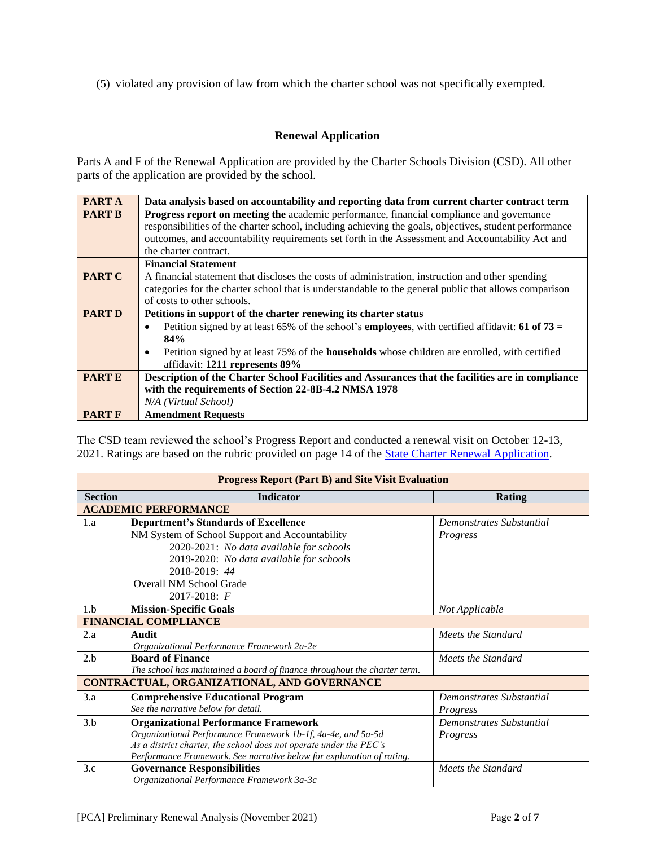(5) violated any provision of law from which the charter school was not specifically exempted.

# **Renewal Application**

Parts A and F of the Renewal Application are provided by the Charter Schools Division (CSD). All other parts of the application are provided by the school.

| <b>PARTA</b>  | Data analysis based on accountability and reporting data from current charter contract term                                 |  |  |  |  |  |
|---------------|-----------------------------------------------------------------------------------------------------------------------------|--|--|--|--|--|
| <b>PART B</b> | <b>Progress report on meeting the academic performance, financial compliance and governance</b>                             |  |  |  |  |  |
|               | responsibilities of the charter school, including achieving the goals, objectives, student performance                      |  |  |  |  |  |
|               | outcomes, and accountability requirements set forth in the Assessment and Accountability Act and                            |  |  |  |  |  |
|               | the charter contract.                                                                                                       |  |  |  |  |  |
|               | <b>Financial Statement</b>                                                                                                  |  |  |  |  |  |
| <b>PART C</b> | A financial statement that discloses the costs of administration, instruction and other spending                            |  |  |  |  |  |
|               | categories for the charter school that is understandable to the general public that allows comparison                       |  |  |  |  |  |
|               | of costs to other schools.                                                                                                  |  |  |  |  |  |
| <b>PART D</b> | Petitions in support of the charter renewing its charter status                                                             |  |  |  |  |  |
|               | Petition signed by at least 65% of the school's <b>employees</b> , with certified affidavit: <b>61 of 73</b> =<br>$\bullet$ |  |  |  |  |  |
|               | 84%                                                                                                                         |  |  |  |  |  |
|               | Petition signed by at least 75% of the <b>households</b> whose children are enrolled, with certified<br>$\bullet$           |  |  |  |  |  |
|               | affidavit: 1211 represents 89%                                                                                              |  |  |  |  |  |
| <b>PARTE</b>  | Description of the Charter School Facilities and Assurances that the facilities are in compliance                           |  |  |  |  |  |
|               | with the requirements of Section 22-8B-4.2 NMSA 1978                                                                        |  |  |  |  |  |
|               | N/A (Virtual School)                                                                                                        |  |  |  |  |  |
| <b>PART F</b> | <b>Amendment Requests</b>                                                                                                   |  |  |  |  |  |

The CSD team reviewed the school's Progress Report and conducted a renewal visit on October 12-13, 2021. Ratings are based on the rubric provided on page 14 of the [State Charter Renewal Application.](https://webnew.ped.state.nm.us/bureaus/public-education-commission/policies-and-processes/renewal-application/)

| <b>Progress Report (Part B) and Site Visit Evaluation</b> |                                                                           |                          |  |  |  |  |  |
|-----------------------------------------------------------|---------------------------------------------------------------------------|--------------------------|--|--|--|--|--|
| <b>Section</b>                                            | <b>Indicator</b>                                                          | <b>Rating</b>            |  |  |  |  |  |
|                                                           | <b>ACADEMIC PERFORMANCE</b>                                               |                          |  |  |  |  |  |
| 1.a                                                       | <b>Department's Standards of Excellence</b>                               | Demonstrates Substantial |  |  |  |  |  |
|                                                           | NM System of School Support and Accountability                            | Progress                 |  |  |  |  |  |
|                                                           | 2020-2021: No data available for schools                                  |                          |  |  |  |  |  |
|                                                           | 2019-2020: No data available for schools                                  |                          |  |  |  |  |  |
|                                                           | 2018-2019: 44                                                             |                          |  |  |  |  |  |
|                                                           | Overall NM School Grade                                                   |                          |  |  |  |  |  |
|                                                           | $2017 - 2018$ : F                                                         |                          |  |  |  |  |  |
| 1.h                                                       | <b>Mission-Specific Goals</b>                                             | Not Applicable           |  |  |  |  |  |
|                                                           | <b>FINANCIAL COMPLIANCE</b>                                               |                          |  |  |  |  |  |
| 2.a                                                       | Audit                                                                     | Meets the Standard       |  |  |  |  |  |
|                                                           | Organizational Performance Framework 2a-2e                                |                          |  |  |  |  |  |
| 2.b                                                       | <b>Board of Finance</b>                                                   | Meets the Standard       |  |  |  |  |  |
|                                                           | The school has maintained a board of finance throughout the charter term. |                          |  |  |  |  |  |
| CONTRACTUAL, ORGANIZATIONAL, AND GOVERNANCE               |                                                                           |                          |  |  |  |  |  |
| 3.a                                                       | <b>Comprehensive Educational Program</b>                                  | Demonstrates Substantial |  |  |  |  |  |
|                                                           | See the narrative below for detail.                                       | Progress                 |  |  |  |  |  |
| 3.b                                                       | <b>Organizational Performance Framework</b>                               | Demonstrates Substantial |  |  |  |  |  |
|                                                           | Organizational Performance Framework 1b-1f, 4a-4e, and 5a-5d              | Progress                 |  |  |  |  |  |
|                                                           | As a district charter, the school does not operate under the PEC's        |                          |  |  |  |  |  |
|                                                           | Performance Framework. See narrative below for explanation of rating.     |                          |  |  |  |  |  |
| 3.c                                                       | <b>Governance Responsibilities</b>                                        | Meets the Standard       |  |  |  |  |  |
|                                                           | Organizational Performance Framework 3a-3c                                |                          |  |  |  |  |  |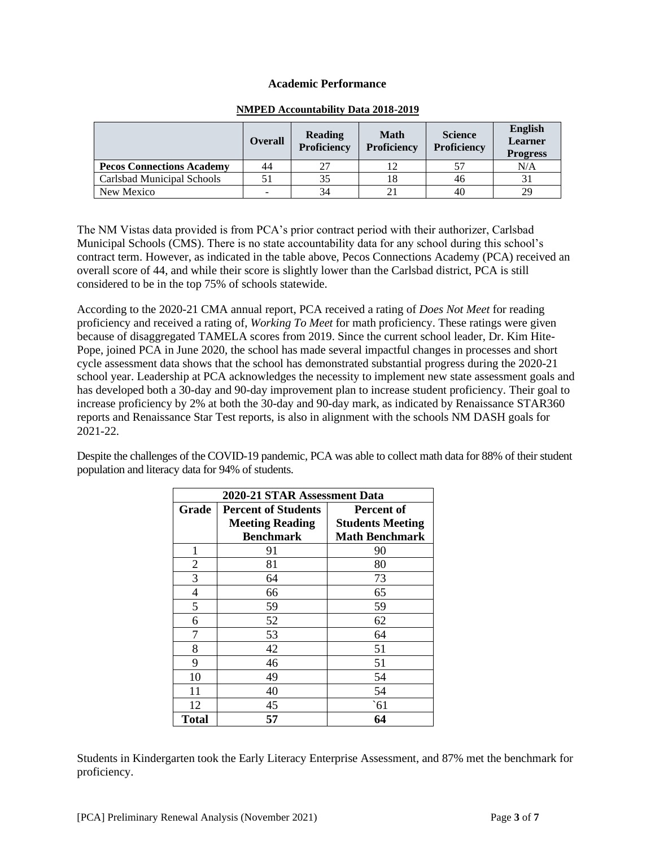# **Academic Performance**

|                                  | <b>Overall</b> | <b>Reading</b><br><b>Proficiency</b> | <b>Math</b><br>Proficiency | <b>Science</b><br><b>Proficiency</b> | <b>English</b><br>Learner<br><b>Progress</b> |
|----------------------------------|----------------|--------------------------------------|----------------------------|--------------------------------------|----------------------------------------------|
| <b>Pecos Connections Academy</b> | 44             |                                      |                            | 51                                   | N/A                                          |
| Carlsbad Municipal Schools       |                | 35                                   |                            | 46                                   |                                              |
| New Mexico                       |                | 34                                   |                            | 40                                   | 29                                           |

# **NMPED Accountability Data 2018-2019**

The NM Vistas data provided is from PCA's prior contract period with their authorizer, Carlsbad Municipal Schools (CMS). There is no state accountability data for any school during this school's contract term. However, as indicated in the table above, Pecos Connections Academy (PCA) received an overall score of 44, and while their score is slightly lower than the Carlsbad district, PCA is still considered to be in the top 75% of schools statewide.

According to the 2020-21 CMA annual report, PCA received a rating of *Does Not Meet* for reading proficiency and received a rating of, *Working To Meet* for math proficiency. These ratings were given because of disaggregated TAMELA scores from 2019. Since the current school leader, Dr. Kim Hite-Pope, joined PCA in June 2020, the school has made several impactful changes in processes and short cycle assessment data shows that the school has demonstrated substantial progress during the 2020-21 school year. Leadership at PCA acknowledges the necessity to implement new state assessment goals and has developed both a 30-day and 90-day improvement plan to increase student proficiency. Their goal to increase proficiency by 2% at both the 30-day and 90-day mark, as indicated by Renaissance STAR360 reports and Renaissance Star Test reports, is also in alignment with the schools NM DASH goals for 2021-22.

Despite the challenges of the COVID-19 pandemic, PCA was able to collect math data for 88% of their student population and literacy data for 94% of students.

| 2020-21 STAR Assessment Data |                            |                         |  |  |
|------------------------------|----------------------------|-------------------------|--|--|
| Grade                        | <b>Percent of Students</b> | Percent of              |  |  |
|                              | <b>Meeting Reading</b>     | <b>Students Meeting</b> |  |  |
|                              | <b>Benchmark</b>           | <b>Math Benchmark</b>   |  |  |
| 1                            | 91                         | 90                      |  |  |
| $\overline{2}$               | 81                         | 80                      |  |  |
| 3                            | 64                         | 73                      |  |  |
| 4                            | 66                         | 65                      |  |  |
| 5                            | 59<br>59                   |                         |  |  |
| 6                            | 52                         | 62                      |  |  |
| 7                            | 53                         | 64                      |  |  |
| 8                            | 42                         | 51                      |  |  |
| 9                            | 46                         | 51                      |  |  |
| 10                           | 49<br>54                   |                         |  |  |
| 11                           | 40<br>54                   |                         |  |  |
| 12                           | 45                         | $\hat{61}$              |  |  |
| Total                        | 57                         | 64                      |  |  |

Students in Kindergarten took the Early Literacy Enterprise Assessment, and 87% met the benchmark for proficiency.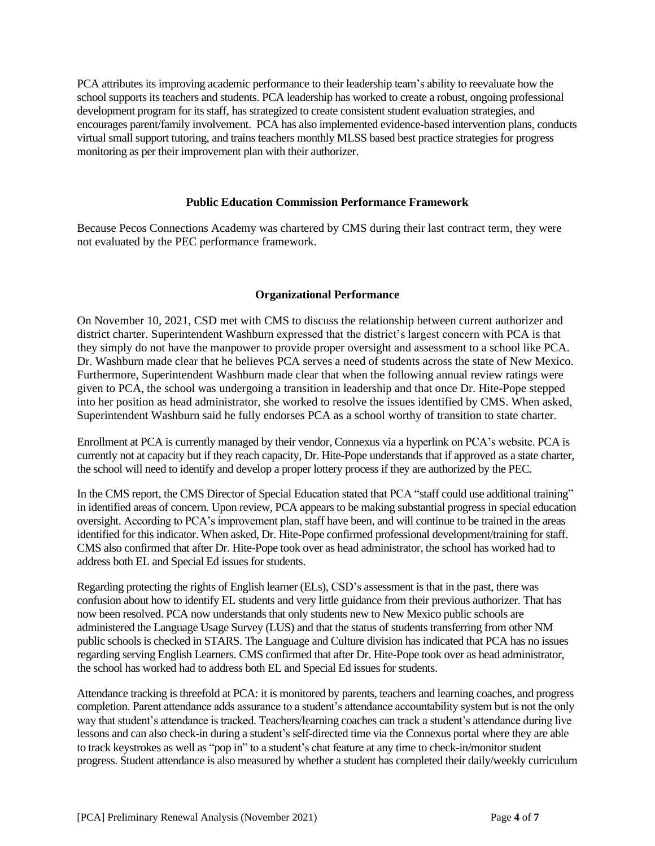PCA attributes its improving academic performance to their leadership team's ability to reevaluate how the school supports its teachers and students. PCA leadership has worked to create a robust, ongoing professional development program for its staff, has strategized to create consistent student evaluation strategies, and encourages parent/family involvement. PCA has also implemented evidence-based intervention plans, conducts virtual small support tutoring, and trains teachers monthly MLSS based best practice strategies for progress monitoring as per their improvement plan with their authorizer.

# **Public Education Commission Performance Framework**

Because Pecos Connections Academy was chartered by CMS during their last contract term, they were not evaluated by the PEC performance framework.

# **Organizational Performance**

On November 10, 2021, CSD met with CMS to discuss the relationship between current authorizer and district charter. Superintendent Washburn expressed that the district's largest concern with PCA is that they simply do not have the manpower to provide proper oversight and assessment to a school like PCA. Dr. Washburn made clear that he believes PCA serves a need of students across the state of New Mexico. Furthermore, Superintendent Washburn made clear that when the following annual review ratings were given to PCA, the school was undergoing a transition in leadership and that once Dr. Hite-Pope stepped into her position as head administrator, she worked to resolve the issues identified by CMS. When asked, Superintendent Washburn said he fully endorses PCA as a school worthy of transition to state charter.

Enrollment at PCA is currently managed by their vendor, Connexus via a hyperlink on PCA's website. PCA is currently not at capacity but if they reach capacity, Dr. Hite-Pope understands that if approved as a state charter, the school will need to identify and develop a proper lottery process if they are authorized by the PEC.

In the CMS report, the CMS Director of Special Education stated that PCA "staff could use additional training" in identified areas of concern. Upon review, PCA appears to be making substantial progress in special education oversight. According to PCA's improvement plan, staff have been, and will continue to be trained in the areas identified for this indicator. When asked, Dr. Hite-Pope confirmed professional development/training for staff. CMS also confirmed that after Dr. Hite-Pope took over as head administrator, the school has worked had to address both EL and Special Ed issues for students.

Regarding protecting the rights of English learner (ELs), CSD's assessment is that in the past, there was confusion about how to identify EL students and very little guidance from their previous authorizer. That has now been resolved. PCA now understands that only students new to New Mexico public schools are administered the Language Usage Survey (LUS) and that the status of students transferring from other NM public schools is checked in STARS. The Language and Culture division has indicated that PCA has no issues regarding serving English Learners. CMS confirmed that after Dr. Hite-Pope took over as head administrator, the school has worked had to address both EL and Special Ed issues for students.

Attendance tracking is threefold at PCA: it is monitored by parents, teachers and learning coaches, and progress completion. Parent attendance adds assurance to a student's attendance accountability system but is not the only way that student's attendance is tracked. Teachers/learning coaches can track a student's attendance during live lessons and can also check-in during a student's self-directed time via the Connexus portal where they are able to track keystrokes as well as "pop in" to a student's chat feature at any time to check-in/monitor student progress. Student attendance is also measured by whether a student has completed their daily/weekly curriculum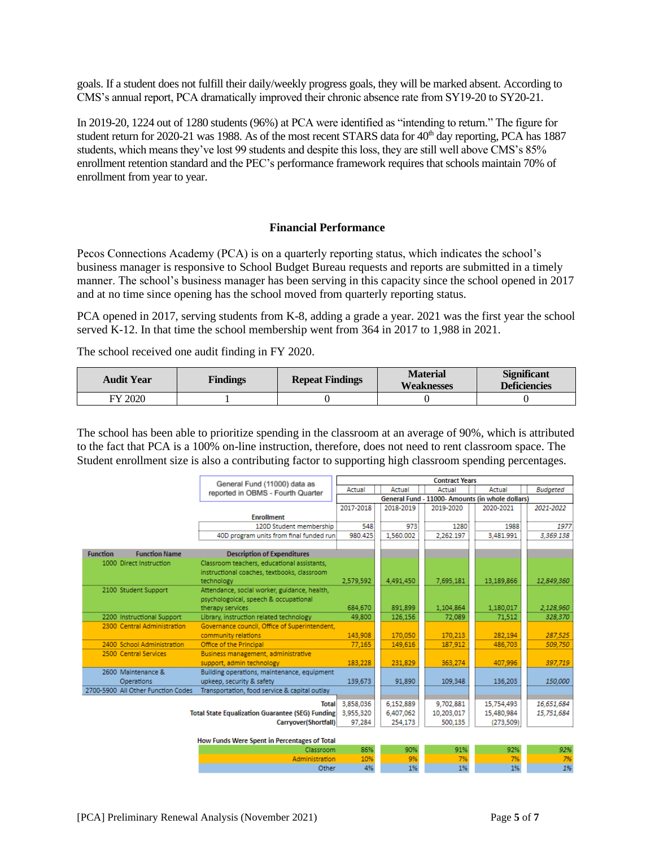goals. If a student does not fulfill their daily/weekly progress goals, they will be marked absent. According to CMS's annual report, PCA dramatically improved their chronic absence rate from SY19-20 to SY20-21.

In 2019-20, 1224 out of 1280 students (96%) at PCA were identified as "intending to return." The figure for student return for 2020-21 was 1988. As of the most recent STARS data for 40<sup>th</sup> day reporting, PCA has 1887 students, which means they've lost 99 students and despite this loss, they are still well above CMS's 85% enrollment retention standard and the PEC's performance framework requires that schools maintain 70% of enrollment from year to year.

# **Financial Performance**

Pecos Connections Academy (PCA) is on a quarterly reporting status, which indicates the school's business manager is responsive to School Budget Bureau requests and reports are submitted in a timely manner. The school's business manager has been serving in this capacity since the school opened in 2017 and at no time since opening has the school moved from quarterly reporting status.

PCA opened in 2017, serving students from K-8, adding a grade a year. 2021 was the first year the school served K-12. In that time the school membership went from 364 in 2017 to 1,988 in 2021.

The school received one audit finding in FY 2020.

| <b>Audit Year</b> | <b>Findings</b> | <b>Repeat Findings</b> | <b>Material</b><br><b>Weaknesses</b> | <b>Significant</b><br><b>Deficiencies</b> |  |
|-------------------|-----------------|------------------------|--------------------------------------|-------------------------------------------|--|
| FY 2020           |                 |                        |                                      |                                           |  |

The school has been able to prioritize spending in the classroom at an average of 90%, which is attributed to the fact that PCA is a 100% on-line instruction, therefore, does not need to rent classroom space. The Student enrollment size is also a contributing factor to supporting high classroom spending percentages.

|                 |                                    | General Fund (11000) data as                               | <b>Contract Years</b>                            |           |            |            |                 |
|-----------------|------------------------------------|------------------------------------------------------------|--------------------------------------------------|-----------|------------|------------|-----------------|
|                 | reported in OBMS - Fourth Quarter  |                                                            | Actual                                           | Actual    | Actual     | Actual     | <b>Budgeted</b> |
|                 |                                    |                                                            | General Fund - 11000- Amounts (in whole dollars) |           |            |            |                 |
|                 |                                    |                                                            | 2017-2018                                        | 2018-2019 | 2019-2020  | 2020-2021  | 2021-2022       |
|                 |                                    | <b>Enrollment</b>                                          |                                                  |           |            |            |                 |
|                 |                                    | 120D Student membership                                    | 548                                              | 973       | 1280       | 1988       |                 |
|                 |                                    | 40D program units from final funded run                    | 980.425                                          | 1.560.002 | 2,262.197  | 3.481.991  | 3,369.138       |
|                 |                                    |                                                            |                                                  |           |            |            |                 |
| <b>Function</b> | <b>Function Name</b>               | <b>Description of Expenditures</b>                         |                                                  |           |            |            |                 |
|                 | 1000 Direct Instruction            | Classroom teachers, educational assistants,                |                                                  |           |            |            |                 |
|                 |                                    | instructional coaches, textbooks, classroom                |                                                  |           |            |            |                 |
|                 |                                    | technology                                                 | 2,579,592                                        | 4.491.450 | 7,695,181  | 13,189,866 | 12,849,360      |
|                 | 2100 Student Support               | Attendance, social worker, guidance, health,               |                                                  |           |            |            |                 |
|                 |                                    | psychologoical, speech & occupational                      |                                                  |           |            |            |                 |
|                 |                                    | therapy services                                           | 684,670                                          | 891.899   | 1,104,864  | 1,180,017  | 2,128,960       |
|                 | 2200 Instructional Support         | Library, instruction related technology                    | 49,800                                           | 126,156   | 72,089     | 71,512     | 328,370         |
|                 | 2300 Central Administration        | Governance council, Office of Superintendent,              |                                                  |           |            |            |                 |
|                 |                                    | community relations                                        | 143,908                                          | 170,050   | 170,213    | 282,194    | 287,525         |
|                 | 2400 School Administration         | Office of the Principal                                    | 77.165                                           | 149,616   | 187.912    | 486,703    | 509,750         |
|                 | 2500 Central Services              | Business management, administrative                        |                                                  |           |            |            |                 |
|                 |                                    | support, admin technology                                  | 183,228                                          | 231.829   | 363.274    | 407.996    | 397,719         |
|                 | 2600 Maintenance &                 | Building operations, maintenance, equipment                |                                                  |           |            |            |                 |
|                 | Operations                         | upkeep, security & safety                                  | 139,673                                          | 91.890    | 109,348    | 136,203    | 150,000         |
|                 | 2700-5900 All Other Function Codes | Transportation, food service & capital outlay              |                                                  |           |            |            |                 |
|                 |                                    | <b>Total</b>                                               | 3,858,036                                        | 6,152,889 | 9,702,881  | 15,754,493 | 16,651,684      |
|                 |                                    | Total State Equalization Guarantee (SEG) Funding 3,955,320 |                                                  | 6,407,062 | 10,203,017 | 15,480,984 | 15,751,684      |
|                 |                                    | Carryover(Shortfall)                                       | 97,284                                           | 254,173   | 500.135    | (273,509)  |                 |
|                 |                                    |                                                            |                                                  |           |            |            |                 |
|                 |                                    | How Funds Were Spent in Percentages of Total               |                                                  |           |            |            |                 |
|                 |                                    | Classroom                                                  | 86%                                              | 90%       | 91%        | 92%        | 92%             |
|                 |                                    | Administration                                             | 10%                                              | 9%        | 7%         | 7%         | 7%              |

Other

4%

1%

1%

1%

1%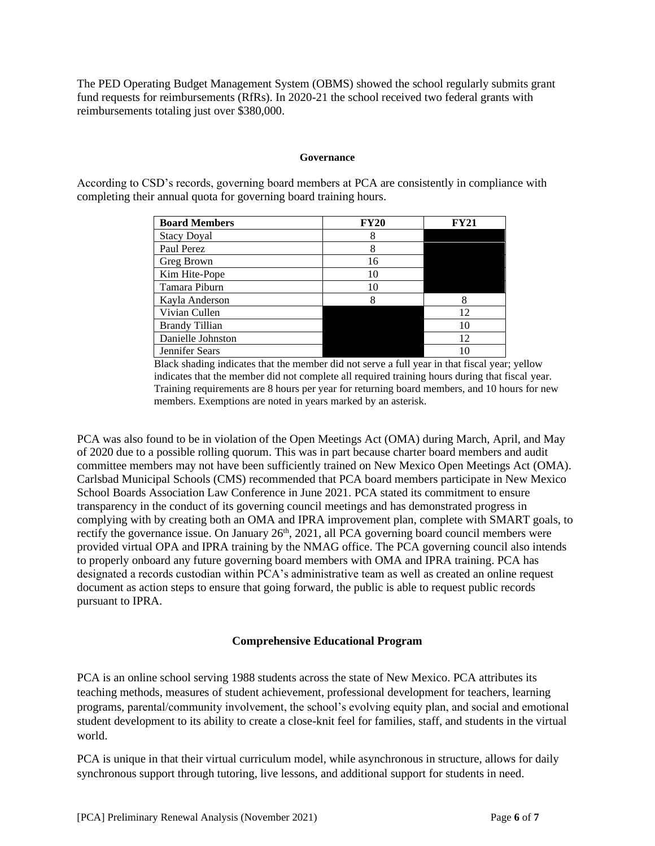The PED Operating Budget Management System (OBMS) showed the school regularly submits grant fund requests for reimbursements (RfRs). In 2020-21 the school received two federal grants with reimbursements totaling just over \$380,000.

## **Governance**

According to CSD's records, governing board members at PCA are consistently in compliance with completing their annual quota for governing board training hours.

| <b>Board Members</b>  | <b>FY20</b> | FV21 |
|-----------------------|-------------|------|
| <b>Stacy Doyal</b>    | 8           |      |
| Paul Perez            | 8           |      |
| Greg Brown            | 16          |      |
| Kim Hite-Pope         | 10          |      |
| Tamara Piburn         | 10          |      |
| Kayla Anderson        |             | 8    |
| Vivian Cullen         |             | 12   |
| <b>Brandy Tillian</b> |             | 10   |
| Danielle Johnston     |             | 12   |
| Jennifer Sears        |             |      |

Black shading indicates that the member did not serve a full year in that fiscal year; yellow indicates that the member did not complete all required training hours during that fiscal year. Training requirements are 8 hours per year for returning board members, and 10 hours for new members. Exemptions are noted in years marked by an asterisk.

PCA was also found to be in violation of the Open Meetings Act (OMA) during March, April, and May of 2020 due to a possible rolling quorum. This was in part because charter board members and audit committee members may not have been sufficiently trained on New Mexico Open Meetings Act (OMA). Carlsbad Municipal Schools (CMS) recommended that PCA board members participate in New Mexico School Boards Association Law Conference in June 2021. PCA stated its commitment to ensure transparency in the conduct of its governing council meetings and has demonstrated progress in complying with by creating both an OMA and IPRA improvement plan, complete with SMART goals, to rectify the governance issue. On January 26<sup>th</sup>, 2021, all PCA governing board council members were provided virtual OPA and IPRA training by the NMAG office. The PCA governing council also intends to properly onboard any future governing board members with OMA and IPRA training. PCA has designated a records custodian within PCA's administrative team as well as created an online request document as action steps to ensure that going forward, the public is able to request public records pursuant to IPRA.

# **Comprehensive Educational Program**

PCA is an online school serving 1988 students across the state of New Mexico. PCA attributes its teaching methods, measures of student achievement, professional development for teachers, learning programs, parental/community involvement, the school's evolving equity plan, and social and emotional student development to its ability to create a close-knit feel for families, staff, and students in the virtual world.

PCA is unique in that their virtual curriculum model, while asynchronous in structure, allows for daily synchronous support through tutoring, live lessons, and additional support for students in need.